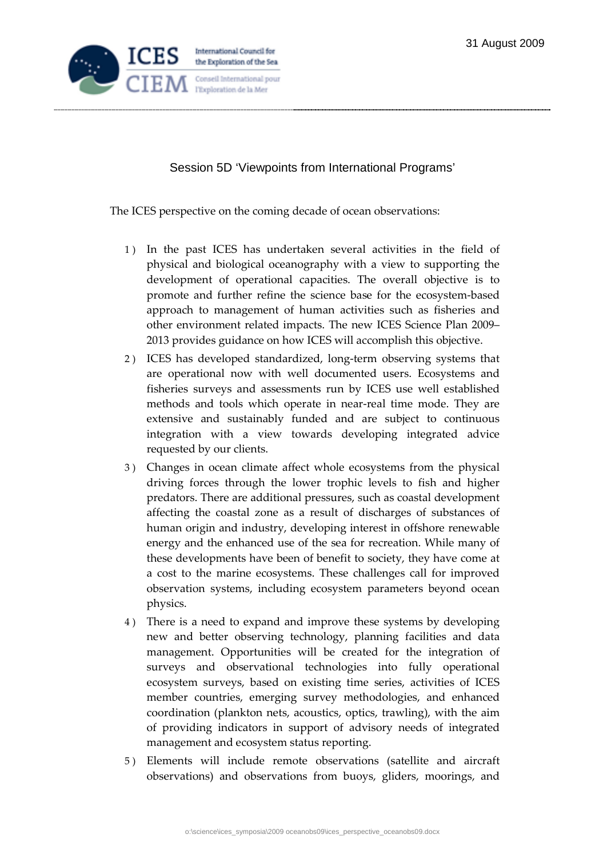

Session 5D 'Viewpoints from International Programs'

The ICES perspective on the coming decade of ocean observations:

- 1 ) In the past ICES has undertaken several activities in the field of physical and biological oceanography with a view to supporting the development of operational capacities. The overall objective is to promote and further refine the science base for the ecosystem-based approach to management of human activities such as fisheries and other environment related impacts. The new ICES Science Plan 2009– 2013 provides guidance on how ICES will accomplish this objective.
- 2 ) ICES has developed standardized, long-term observing systems that are operational now with well documented users. Ecosystems and fisheries surveys and assessments run by ICES use well established methods and tools which operate in near-real time mode. They are extensive and sustainably funded and are subject to continuous integration with a view towards developing integrated advice requested by our clients.
- 3 ) Changes in ocean climate affect whole ecosystems from the physical driving forces through the lower trophic levels to fish and higher predators. There are additional pressures, such as coastal development affecting the coastal zone as a result of discharges of substances of human origin and industry, developing interest in offshore renewable energy and the enhanced use of the sea for recreation. While many of these developments have been of benefit to society, they have come at a cost to the marine ecosystems. These challenges call for improved observation systems, including ecosystem parameters beyond ocean physics.
- 4 ) There is a need to expand and improve these systems by developing new and better observing technology, planning facilities and data management. Opportunities will be created for the integration of surveys and observational technologies into fully operational ecosystem surveys, based on existing time series, activities of ICES member countries, emerging survey methodologies, and enhanced coordination (plankton nets, acoustics, optics, trawling), with the aim of providing indicators in support of advisory needs of integrated management and ecosystem status reporting.
- 5 ) Elements will include remote observations (satellite and aircraft observations) and observations from buoys, gliders, moorings, and